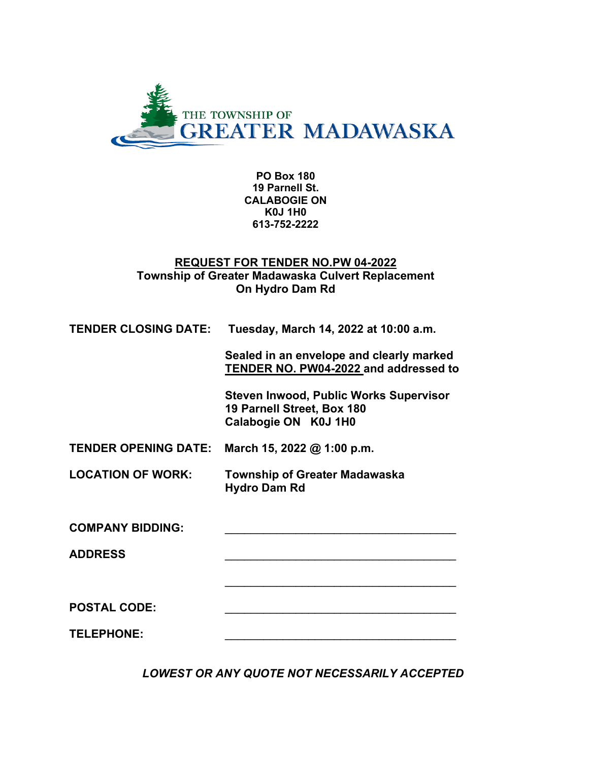

 **PO Box 180 19 Parnell St. CALABOGIE ON K0J 1H0 613-752-2222**

#### **REQUEST FOR TENDER NO.PW 04-2022 Township of Greater Madawaska Culvert Replacement On Hydro Dam Rd**

| <b>TENDER CLOSING DATE:</b> | Tuesday, March 14, 2022 at 10:00 a.m.                                                               |  |
|-----------------------------|-----------------------------------------------------------------------------------------------------|--|
|                             | Sealed in an envelope and clearly marked<br>TENDER NO. PW04-2022 and addressed to                   |  |
|                             | <b>Steven Inwood, Public Works Supervisor</b><br>19 Parnell Street, Box 180<br>Calabogie ON K0J 1H0 |  |
| <b>TENDER OPENING DATE:</b> | March 15, 2022 @ 1:00 p.m.                                                                          |  |
| <b>LOCATION OF WORK:</b>    | <b>Township of Greater Madawaska</b><br><b>Hydro Dam Rd</b>                                         |  |
| <b>COMPANY BIDDING:</b>     |                                                                                                     |  |
| <b>ADDRESS</b>              |                                                                                                     |  |
|                             |                                                                                                     |  |
| <b>POSTAL CODE:</b>         |                                                                                                     |  |
| <b>TELEPHONE:</b>           |                                                                                                     |  |

*LOWEST OR ANY QUOTE NOT NECESSARILY ACCEPTED*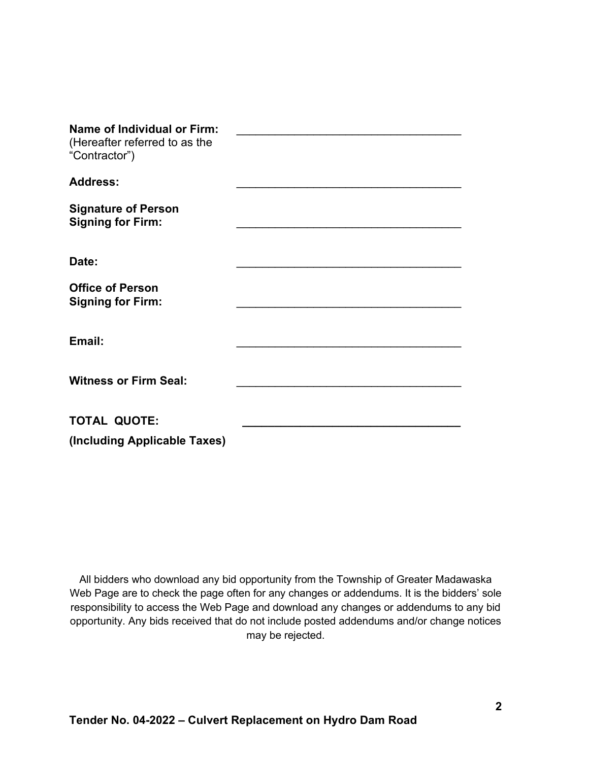| <b>Name of Individual or Firm:</b><br>(Hereafter referred to as the<br>"Contractor") |  |
|--------------------------------------------------------------------------------------|--|
| <b>Address:</b>                                                                      |  |
| <b>Signature of Person</b><br><b>Signing for Firm:</b>                               |  |
| Date:                                                                                |  |
| <b>Office of Person</b><br><b>Signing for Firm:</b>                                  |  |
| Email:                                                                               |  |
| <b>Witness or Firm Seal:</b>                                                         |  |
| <b>TOTAL QUOTE:</b>                                                                  |  |
| (Including Applicable Taxes)                                                         |  |

All bidders who download any bid opportunity from the Township of Greater Madawaska Web Page are to check the page often for any changes or addendums. It is the bidders' sole responsibility to access the Web Page and download any changes or addendums to any bid opportunity. Any bids received that do not include posted addendums and/or change notices may be rejected.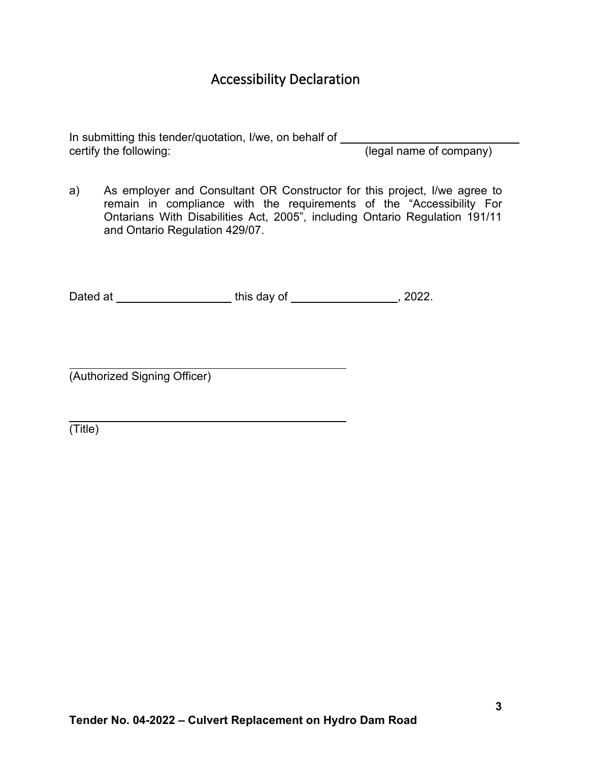# Accessibility Declaration

In submitting this tender/quotation, I/we, on behalf of certify the following: (legal name of company)

a) As employer and Consultant OR Constructor for this project, I/we agree to remain in compliance with the requirements of the "Accessibility For Ontarians With Disabilities Act, 2005", including Ontario Regulation 191/11 and Ontario Regulation 429/07.

Dated at https://www.fileson.com/distance/entries-community-community-community-community-community-community-<br>and the state of the state of the state of the state of the state of the state of the state of the state of th

(Authorized Signing Officer)

(Title)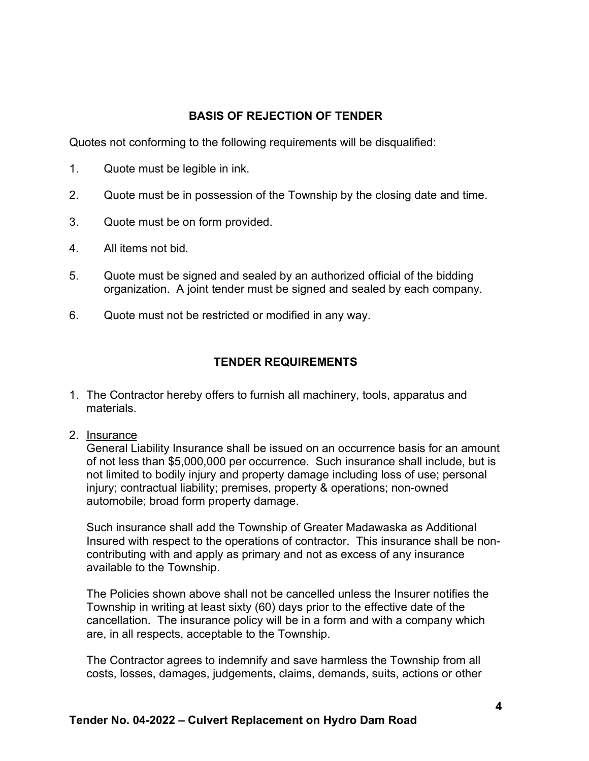## **BASIS OF REJECTION OF TENDER**

Quotes not conforming to the following requirements will be disqualified:

- 1. Quote must be legible in ink.
- 2. Quote must be in possession of the Township by the closing date and time.
- 3. Quote must be on form provided.
- 4. All items not bid.
- 5. Quote must be signed and sealed by an authorized official of the bidding organization. A joint tender must be signed and sealed by each company.
- 6. Quote must not be restricted or modified in any way.

# **TENDER REQUIREMENTS**

- 1. The Contractor hereby offers to furnish all machinery, tools, apparatus and materials.
- 2. Insurance

General Liability Insurance shall be issued on an occurrence basis for an amount of not less than \$5,000,000 per occurrence. Such insurance shall include, but is not limited to bodily injury and property damage including loss of use; personal injury; contractual liability; premises, property & operations; non-owned automobile; broad form property damage.

Such insurance shall add the Township of Greater Madawaska as Additional Insured with respect to the operations of contractor. This insurance shall be noncontributing with and apply as primary and not as excess of any insurance available to the Township.

The Policies shown above shall not be cancelled unless the Insurer notifies the Township in writing at least sixty (60) days prior to the effective date of the cancellation. The insurance policy will be in a form and with a company which are, in all respects, acceptable to the Township.

The Contractor agrees to indemnify and save harmless the Township from all costs, losses, damages, judgements, claims, demands, suits, actions or other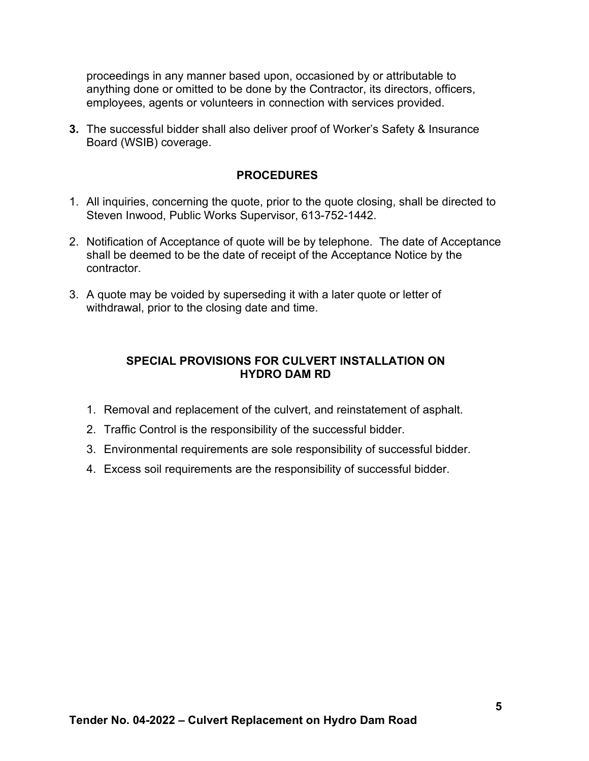proceedings in any manner based upon, occasioned by or attributable to anything done or omitted to be done by the Contractor, its directors, officers, employees, agents or volunteers in connection with services provided.

**3.** The successful bidder shall also deliver proof of Worker's Safety & Insurance Board (WSIB) coverage.

#### **PROCEDURES**

- 1. All inquiries, concerning the quote, prior to the quote closing, shall be directed to Steven Inwood, Public Works Supervisor, 613-752-1442.
- 2. Notification of Acceptance of quote will be by telephone. The date of Acceptance shall be deemed to be the date of receipt of the Acceptance Notice by the contractor.
- 3. A quote may be voided by superseding it with a later quote or letter of withdrawal, prior to the closing date and time.

### **SPECIAL PROVISIONS FOR CULVERT INSTALLATION ON HYDRO DAM RD**

- 1. Removal and replacement of the culvert, and reinstatement of asphalt.
- 2. Traffic Control is the responsibility of the successful bidder.
- 3. Environmental requirements are sole responsibility of successful bidder.
- 4. Excess soil requirements are the responsibility of successful bidder.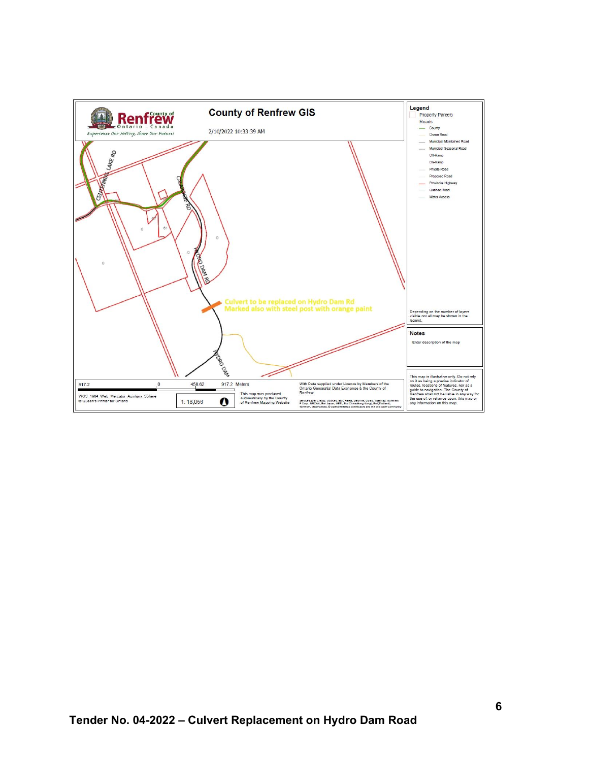